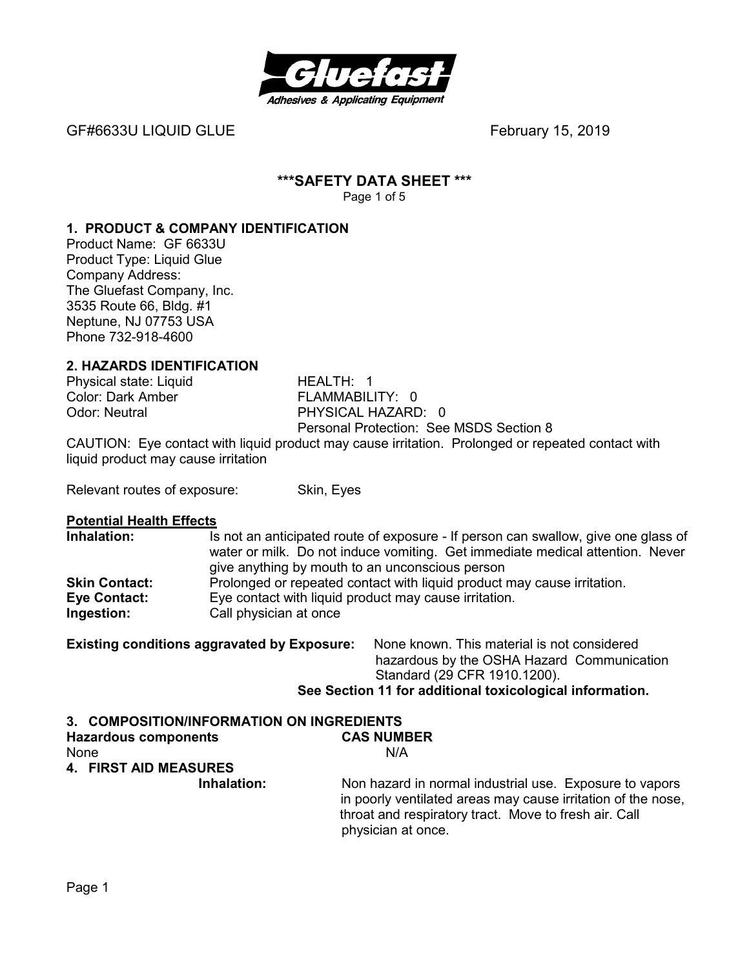

GF#6633U LIQUID GLUEFebruary 15, 2019

#### **\*\*\*SAFETY DATA SHEET \*\*\***  Page 1 of 5

# **1. PRODUCT & COMPANY IDENTIFICATION**

Product Name: GF 6633U Product Type: Liquid Glue Company Address: The Gluefast Company, Inc. 3535 Route 66, Bldg. #1 Neptune, NJ 07753 USA Phone 732-918-4600

# **2. HAZARDS IDENTIFICATION**

Color: Dark Amber<br>Odor: Neutral

Physical state: Liquid **HEALTH: 1**<br>Color: Dark Amber **FLAMMABILITY:** 0 PHYSICAL HAZARD: 0 Personal Protection: See MSDS Section 8

CAUTION: Eye contact with liquid product may cause irritation. Prolonged or repeated contact with liquid product may cause irritation

Relevant routes of exposure: Skin, Eyes

#### **Potential Health Effects**

| Inhalation:          | Is not an anticipated route of exposure - If person can swallow, give one glass of |  |
|----------------------|------------------------------------------------------------------------------------|--|
|                      | water or milk. Do not induce vomiting. Get immediate medical attention. Never      |  |
|                      | give anything by mouth to an unconscious person                                    |  |
| <b>Skin Contact:</b> | Prolonged or repeated contact with liquid product may cause irritation.            |  |
| Eye Contact:         | Eye contact with liquid product may cause irritation.                              |  |
| Ingestion:           | Call physician at once                                                             |  |

| <b>Existing conditions aggravated by Exposure:</b> | None known. This material is not considered              |  |  |
|----------------------------------------------------|----------------------------------------------------------|--|--|
|                                                    | hazardous by the OSHA Hazard Communication               |  |  |
|                                                    | Standard (29 CFR 1910.1200).                             |  |  |
|                                                    | See Section 11 for additional toxicological information. |  |  |
|                                                    |                                                          |  |  |

| 3. COMPOSITION/INFORMATION ON INGREDIENTS |                                                                                                                                                                                                        |
|-------------------------------------------|--------------------------------------------------------------------------------------------------------------------------------------------------------------------------------------------------------|
| <b>Hazardous components</b>               | <b>CAS NUMBER</b>                                                                                                                                                                                      |
| None                                      | N/A                                                                                                                                                                                                    |
| 4. FIRST AID MEASURES                     |                                                                                                                                                                                                        |
| Inhalation:                               | Non hazard in normal industrial use. Exposure to vapors<br>in poorly ventilated areas may cause irritation of the nose,<br>throat and respiratory tract. Move to fresh air. Call<br>physician at once. |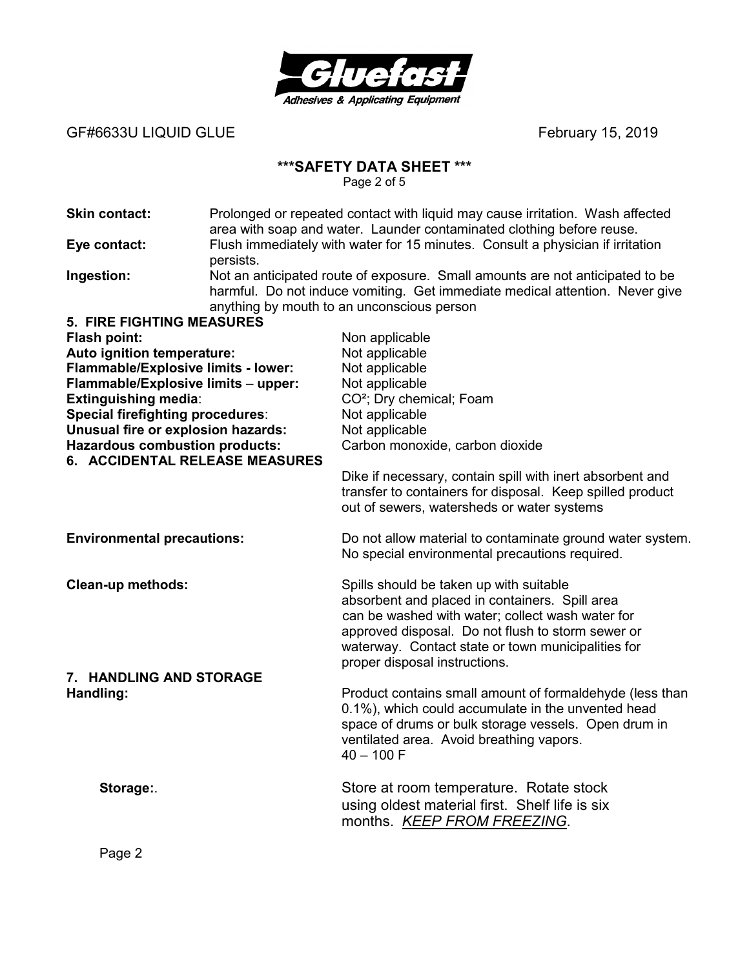

GF#6633U LIQUID GLUE
and the state of the state of the state of the state of the state of the state of the state of the state of the state of the state of the state of the state of the state of the state of the state of th

# **\*\*\*SAFETY DATA SHEET \*\*\***

Page 2 of 5

| <b>Skin contact:</b>                    | Prolonged or repeated contact with liquid may cause irritation. Wash affected<br>area with soap and water. Launder contaminated clothing before reuse. |                                                                                                                                                                                                             |
|-----------------------------------------|--------------------------------------------------------------------------------------------------------------------------------------------------------|-------------------------------------------------------------------------------------------------------------------------------------------------------------------------------------------------------------|
| Eye contact:                            | persists.                                                                                                                                              | Flush immediately with water for 15 minutes. Consult a physician if irritation                                                                                                                              |
| Ingestion:                              |                                                                                                                                                        | Not an anticipated route of exposure. Small amounts are not anticipated to be<br>harmful. Do not induce vomiting. Get immediate medical attention. Never give<br>anything by mouth to an unconscious person |
| <b>5. FIRE FIGHTING MEASURES</b>        |                                                                                                                                                        |                                                                                                                                                                                                             |
| <b>Flash point:</b>                     |                                                                                                                                                        | Non applicable                                                                                                                                                                                              |
| Auto ignition temperature:              |                                                                                                                                                        | Not applicable                                                                                                                                                                                              |
| Flammable/Explosive limits - lower:     |                                                                                                                                                        | Not applicable                                                                                                                                                                                              |
| Flammable/Explosive limits - upper:     |                                                                                                                                                        | Not applicable                                                                                                                                                                                              |
| <b>Extinguishing media:</b>             |                                                                                                                                                        | CO <sup>2</sup> ; Dry chemical; Foam                                                                                                                                                                        |
| <b>Special firefighting procedures:</b> |                                                                                                                                                        | Not applicable                                                                                                                                                                                              |
| Unusual fire or explosion hazards:      |                                                                                                                                                        | Not applicable                                                                                                                                                                                              |
| <b>Hazardous combustion products:</b>   |                                                                                                                                                        | Carbon monoxide, carbon dioxide                                                                                                                                                                             |
| 6. ACCIDENTAL RELEASE MEASURES          |                                                                                                                                                        |                                                                                                                                                                                                             |
|                                         |                                                                                                                                                        | Dike if necessary, contain spill with inert absorbent and                                                                                                                                                   |
|                                         |                                                                                                                                                        | transfer to containers for disposal. Keep spilled product                                                                                                                                                   |
|                                         |                                                                                                                                                        | out of sewers, watersheds or water systems                                                                                                                                                                  |
| <b>Environmental precautions:</b>       |                                                                                                                                                        | Do not allow material to contaminate ground water system.<br>No special environmental precautions required.                                                                                                 |
|                                         |                                                                                                                                                        |                                                                                                                                                                                                             |
| <b>Clean-up methods:</b>                |                                                                                                                                                        | Spills should be taken up with suitable                                                                                                                                                                     |
|                                         |                                                                                                                                                        | absorbent and placed in containers. Spill area                                                                                                                                                              |
|                                         |                                                                                                                                                        | can be washed with water; collect wash water for                                                                                                                                                            |
|                                         |                                                                                                                                                        | approved disposal. Do not flush to storm sewer or                                                                                                                                                           |
|                                         |                                                                                                                                                        | waterway. Contact state or town municipalities for                                                                                                                                                          |
|                                         |                                                                                                                                                        | proper disposal instructions.                                                                                                                                                                               |
| 7. HANDLING AND STORAGE                 |                                                                                                                                                        |                                                                                                                                                                                                             |
| Handling:                               |                                                                                                                                                        | Product contains small amount of formaldehyde (less than                                                                                                                                                    |
|                                         |                                                                                                                                                        | 0.1%), which could accumulate in the unvented head                                                                                                                                                          |
|                                         |                                                                                                                                                        | space of drums or bulk storage vessels. Open drum in                                                                                                                                                        |
|                                         |                                                                                                                                                        | ventilated area. Avoid breathing vapors.<br>$40 - 100$ F                                                                                                                                                    |
|                                         |                                                                                                                                                        |                                                                                                                                                                                                             |
| Storage:                                |                                                                                                                                                        | Store at room temperature. Rotate stock                                                                                                                                                                     |
|                                         |                                                                                                                                                        | using oldest material first. Shelf life is six                                                                                                                                                              |
|                                         |                                                                                                                                                        |                                                                                                                                                                                                             |
|                                         |                                                                                                                                                        | months. KEEP FROM FREEZING.                                                                                                                                                                                 |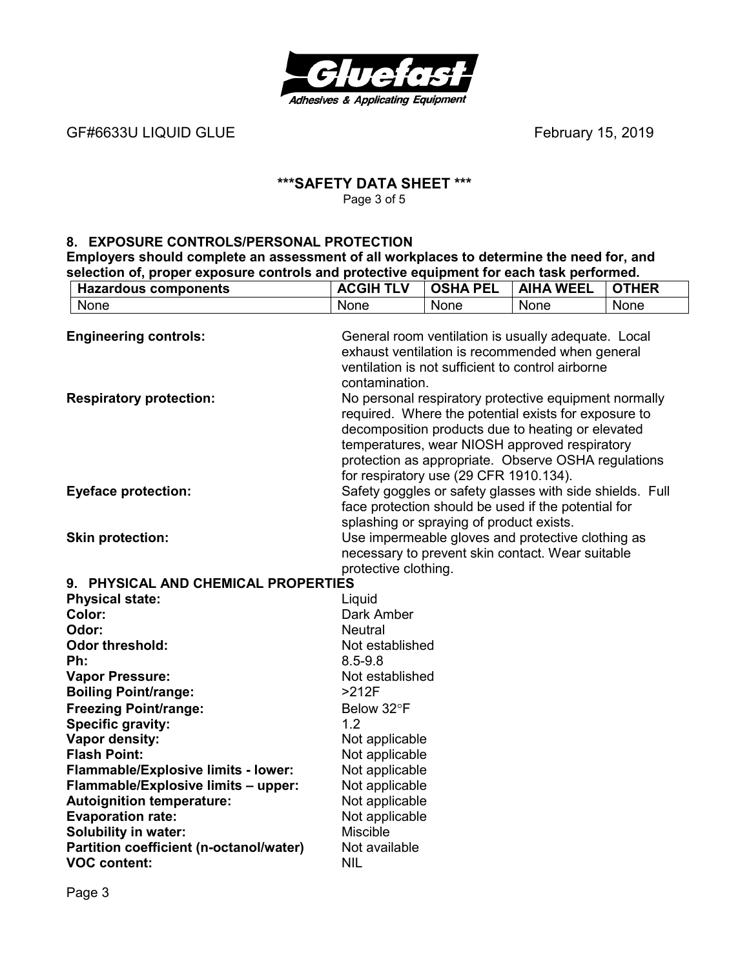

GF#6633U LIQUID GLUE *CHARGE CONTROLLIGATE CONTROLLIGATE SCHOOL* **February 15, 2019** 

### **\*\*\*SAFETY DATA SHEET \*\*\***  Page 3 of 5

#### **8. EXPOSURE CONTROLS/PERSONAL PROTECTION**

**Employers should complete an assessment of all workplaces to determine the need for, and selection of, proper exposure controls and protective equipment for each task performed.** 

| <b>Hazardous components</b>                                                                                                                                                               | <b>ACGIH TLV</b>                                                                                                                                                                                                                                                                                                     | <b>OSHA PEL</b> | <b>AIHA WEEL</b> | <b>OTHER</b> |
|-------------------------------------------------------------------------------------------------------------------------------------------------------------------------------------------|----------------------------------------------------------------------------------------------------------------------------------------------------------------------------------------------------------------------------------------------------------------------------------------------------------------------|-----------------|------------------|--------------|
| None                                                                                                                                                                                      | None                                                                                                                                                                                                                                                                                                                 | None            | None             | None         |
| <b>Engineering controls:</b>                                                                                                                                                              | General room ventilation is usually adequate. Local<br>exhaust ventilation is recommended when general<br>ventilation is not sufficient to control airborne<br>contamination.                                                                                                                                        |                 |                  |              |
| <b>Respiratory protection:</b>                                                                                                                                                            | No personal respiratory protective equipment normally<br>required. Where the potential exists for exposure to<br>decomposition products due to heating or elevated<br>temperatures, wear NIOSH approved respiratory<br>protection as appropriate. Observe OSHA regulations<br>for respiratory use (29 CFR 1910.134). |                 |                  |              |
| Safety goggles or safety glasses with side shields. Full<br><b>Eyeface protection:</b><br>face protection should be used if the potential for<br>splashing or spraying of product exists. |                                                                                                                                                                                                                                                                                                                      |                 |                  |              |
| <b>Skin protection:</b>                                                                                                                                                                   | Use impermeable gloves and protective clothing as<br>necessary to prevent skin contact. Wear suitable<br>protective clothing.                                                                                                                                                                                        |                 |                  |              |
| 9. PHYSICAL AND CHEMICAL PROPERTIES                                                                                                                                                       |                                                                                                                                                                                                                                                                                                                      |                 |                  |              |
| <b>Physical state:</b><br>Liquid                                                                                                                                                          |                                                                                                                                                                                                                                                                                                                      |                 |                  |              |
| Color:                                                                                                                                                                                    | Dark Amber                                                                                                                                                                                                                                                                                                           |                 |                  |              |
| Odor:<br><b>Neutral</b>                                                                                                                                                                   |                                                                                                                                                                                                                                                                                                                      |                 |                  |              |
| <b>Odor threshold:</b>                                                                                                                                                                    | Not established                                                                                                                                                                                                                                                                                                      |                 |                  |              |
| Ph:                                                                                                                                                                                       | $8.5 - 9.8$                                                                                                                                                                                                                                                                                                          |                 |                  |              |
| <b>Vapor Pressure:</b>                                                                                                                                                                    | Not established                                                                                                                                                                                                                                                                                                      |                 |                  |              |
| <b>Boiling Point/range:</b>                                                                                                                                                               | $>212F$                                                                                                                                                                                                                                                                                                              |                 |                  |              |
| <b>Freezing Point/range:</b>                                                                                                                                                              | Below 32°F                                                                                                                                                                                                                                                                                                           |                 |                  |              |
| <b>Specific gravity:</b>                                                                                                                                                                  | 1.2                                                                                                                                                                                                                                                                                                                  |                 |                  |              |
| Vapor density:                                                                                                                                                                            | Not applicable                                                                                                                                                                                                                                                                                                       |                 |                  |              |
| <b>Flash Point:</b><br>Not applicable                                                                                                                                                     |                                                                                                                                                                                                                                                                                                                      |                 |                  |              |
| Flammable/Explosive limits - lower:<br>Not applicable                                                                                                                                     |                                                                                                                                                                                                                                                                                                                      |                 |                  |              |
| Flammable/Explosive limits - upper:                                                                                                                                                       | Not applicable                                                                                                                                                                                                                                                                                                       |                 |                  |              |
| <b>Autoignition temperature:</b><br>Not applicable                                                                                                                                        |                                                                                                                                                                                                                                                                                                                      |                 |                  |              |
| <b>Evaporation rate:</b><br>Not applicable                                                                                                                                                |                                                                                                                                                                                                                                                                                                                      |                 |                  |              |
| <b>Solubility in water:</b>                                                                                                                                                               | Miscible                                                                                                                                                                                                                                                                                                             |                 |                  |              |
| Partition coefficient (n-octanol/water)<br><b>VOC content:</b>                                                                                                                            | Not available<br><b>NIL</b>                                                                                                                                                                                                                                                                                          |                 |                  |              |

Page 3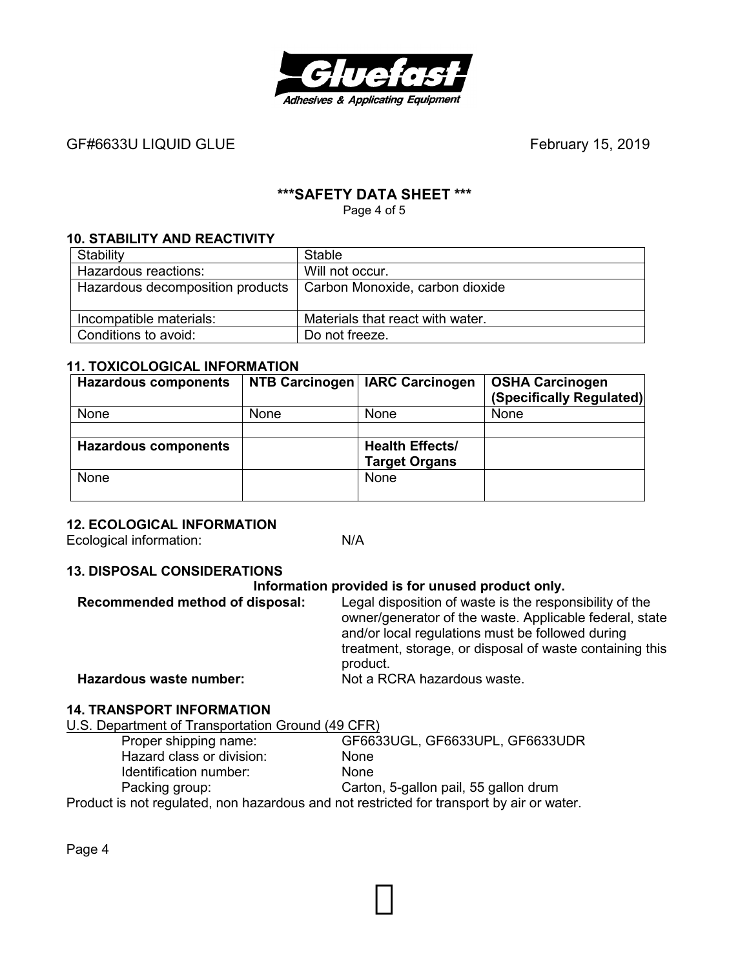

GF#6633U LIQUID GLUE
BEER AND THE SERVICE SERVICE SERVICE SERVICE SERVICE SERVICE SERVICE SERVICE SERVICE SERVICE SERVICE SERVICE SERVICE SERVICE SERVICE SERVICE SERVICE SERVICE SERVICE SERVICE SERVICE SERVICE SERVICE SERV

# **\*\*\*SAFETY DATA SHEET \*\*\***

Page 4 of 5

# **10. STABILITY AND REACTIVITY**

| Stability                                                          | <b>Stable</b>                    |
|--------------------------------------------------------------------|----------------------------------|
| Hazardous reactions:                                               | Will not occur.                  |
| Hazardous decomposition products   Carbon Monoxide, carbon dioxide |                                  |
|                                                                    |                                  |
| Incompatible materials:                                            | Materials that react with water. |
| Conditions to avoid:                                               | Do not freeze.                   |

#### **11. TOXICOLOGICAL INFORMATION**

| <b>Hazardous components</b> |      | NTB Carcinogen   IARC Carcinogen | <b>OSHA Carcinogen</b><br>(Specifically Regulated) |
|-----------------------------|------|----------------------------------|----------------------------------------------------|
| None                        | None | None                             | None                                               |
|                             |      |                                  |                                                    |
| <b>Hazardous components</b> |      | <b>Health Effects/</b>           |                                                    |
|                             |      | <b>Target Organs</b>             |                                                    |
| None                        |      | <b>None</b>                      |                                                    |
|                             |      |                                  |                                                    |

# **12. ECOLOGICAL INFORMATION**

Ecological information: N/A

#### **13. DISPOSAL CONSIDERATIONS**

#### **Information provided is for unused product only.**

| Recommended method of disposal: | Legal disposition of waste is the responsibility of the<br>owner/generator of the waste. Applicable federal, state<br>and/or local regulations must be followed during<br>treatment, storage, or disposal of waste containing this<br>product. |
|---------------------------------|------------------------------------------------------------------------------------------------------------------------------------------------------------------------------------------------------------------------------------------------|
| Hazardous waste number:         | Not a RCRA hazardous waste.                                                                                                                                                                                                                    |

### **14. TRANSPORT INFORMATION**

U.S. Department of Transportation Ground (49 CFR)

| Proper shipping name:                                                                     | GF6633UGL, GF6633UPL, GF6633UDR       |
|-------------------------------------------------------------------------------------------|---------------------------------------|
| Hazard class or division:                                                                 | <b>None</b>                           |
| Identification number:                                                                    | <b>None</b>                           |
| Packing group:                                                                            | Carton, 5-gallon pail, 55 gallon drum |
| Product is not regulated, non hazardous and not restricted for transport by air or water. |                                       |

Page 4